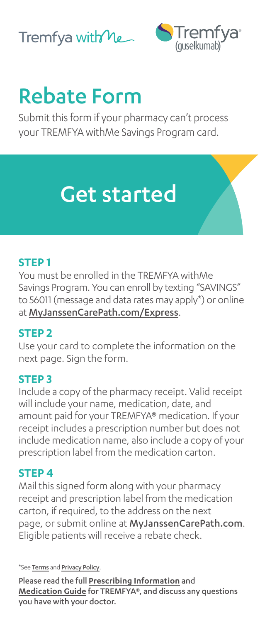



# Rebate Form

Submit this form if your pharmacy can't process your TREMFYA withMe Savings Program card.

## Get started

#### **STEP 1**

You must be enrolled in the TREMFYA withMe Savings Program. You can enroll by texting "SAVINGS" to 56011 (message and data rates may apply\*) or online at [MyJanssenCarePath.com/Express](https://www.myjanssencarepath.com/Express).

#### **STEP 2**

Use your card to complete the information on the next page. Sign the form.

#### **STEP 3**

Include a copy of the pharmacy receipt. Valid receipt will include your name, medication, date, and amount paid for your TREMFYA® medication. If your receipt includes a prescription number but does not include medication name, also include a copy of your prescription label from the medication carton.

#### **STEP 4**

Mail this signed form along with your pharmacy receipt and prescription label from the medication carton, if required, to the address on the next page, or submit online at [MyJanssenCarePath.com](https://www.myjanssencarepath.com/s/login/SelfRegister?regBy=Self). Eligible patients will receive a rebate check.

\*See [Terms](https://JanssenCarePath.com/Terms-Conditions-Mobile) and [Privacy Policy](https://www.janssencarepath.com/privacy-policy).

Please read the full **[Prescribing Information](https://www.janssenlabels.com/package-insert/product-monograph/prescribing-information/TREMFYA-pi.pdf)** and **[Medication Guide](https://www.janssenlabels.com/package-insert/product-patient-information/TREMFYA-medication-guide.pdf)** for TREMFYA®, and discuss any questions you have with your doctor.